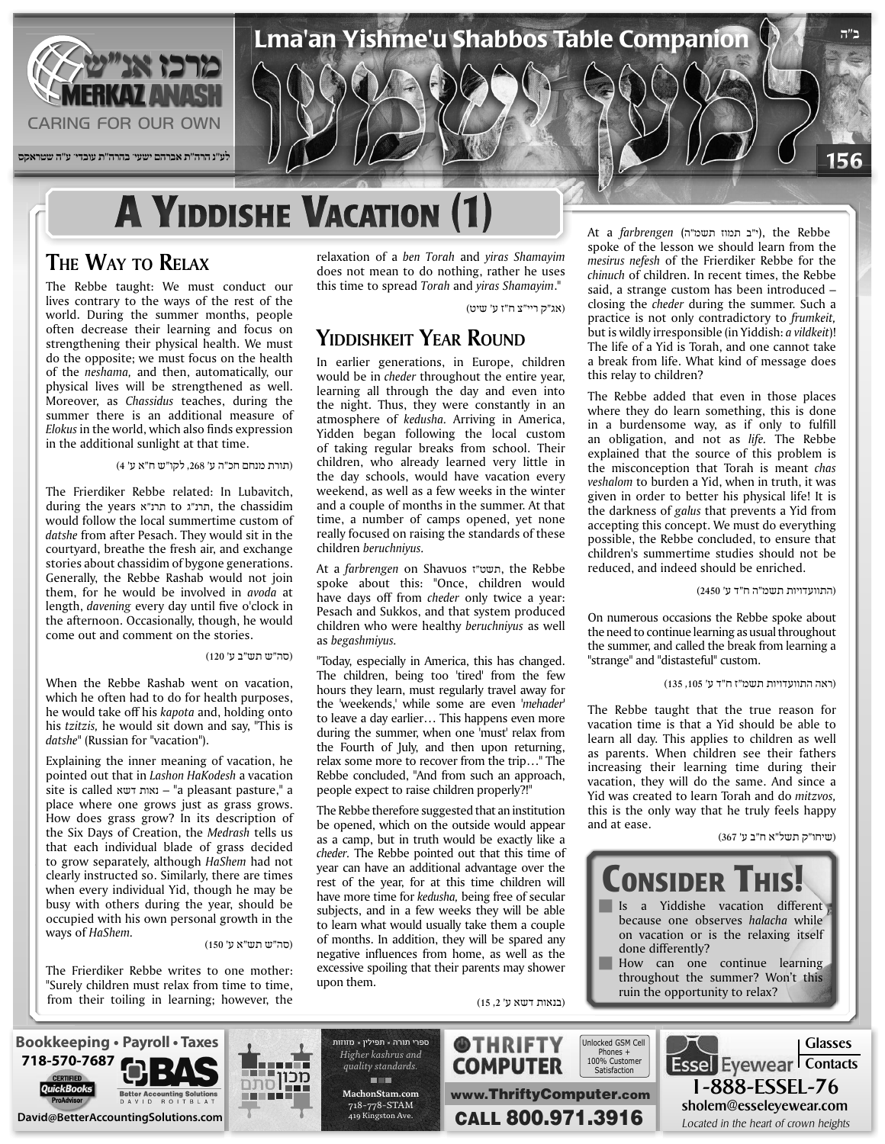

## **A YIDDISHE VACATION (1)**

#### **THE WAY TO RELAX**

The Rebbe taught: We must conduct our lives contrary to the ways of the rest of the world. During the summer months, people often decrease their learning and focus on strengthening their physical health. We must do the opposite; we must focus on the health of the *neshama*, and then, automatically, our physical lives will be strengthened as well. Moreover, as *Chassidus* teaches, during the summer there is an additional measure of Elokus in the world, which also finds expression in the additional sunlight at that time.

(תורת מנחם חכ"ה ע' ,268 לקו"ש ח"א ע' 4)

The Frierdiker Rebbe related: In Lubavitch, during the years תרנ"ג to תרנ"ג, the chassidim would follow the local summertime custom of datshe from after Pesach. They would sit in the courtyard, breathe the fresh air, and exchange stories about chassidim of bygone generations. Generally, the Rebbe Rashab would not join them, for he would be involved in *avoda* at length, *davening* every day until five o'clock in the afternoon. Occasionally, though, he would come out and comment on the stories.

(סה"ש תש"ב ע' 120)

When the Rebbe Rashab went on vacation, which he often had to do for health purposes, he would take off his *kapota* and, holding onto his *tzitzis*, he would sit down and say, "This is  $datashe''$  (Russian for "vacation").

Explaining the inner meaning of vacation, he pointed out that in *Lashon HaKodesh* a vacation  $s$ a ite is called נאות דשא – "a pleasant pasture," a place where one grows just as grass grows. How does grass grow? In its description of the Six Days of Creation, the Medrash tells us that each individual blade of grass decided to grow separately, although *HaShem* had not clearly instructed so. Similarly, there are times when every individual Yid, though he may be busy with others during the year, should be occupied with his own personal growth in the ways of HaShem.

(סה"ש תש"א ע' 150)

The Frierdiker Rebbe writes to one mother: "Surely children must relax from time to time, from their toiling in learning; however, the relaxation of a ben Torah and *yiras* Shamayim does not mean to do nothing, rather he uses this time to spread Torah and *yiras* Shamayim."

(אג"ק ריי"צ ח"ז ע' שיט)

#### **YIDDISHKEIT YEAR ROUND**

In earlier generations, in Europe, children would be in *cheder* throughout the entire year, learning all through the day and even into the night. Thus, they were constantly in an atmosphere of *kedusha*. Arriving in America, Yidden began following the local custom of taking regular breaks from school. Their children, who already learned very little in the day schools, would have vacation every weekend, as well as a few weeks in the winter and a couple of months in the summer. At that time, a number of camps opened, yet none really focused on raising the standards of these *.beruchniyus* children

At a *farbrengen* on Shavuos תשט"ז, the Rebbe spoke about this: "Once, children would have days off from *cheder* only *twice* a year: Pesach and Sukkos, and that system produced children who were healthy beruchniyus as well *.begashmiyus* as

"Today, especially in America, this has changed. The children, being too 'tired' from the few hours they learn, must regularly travel away for the 'weekends,' while some are even 'mehader' to leave a day earlier... This happens even more during the summer, when one 'must' relax from the Fourth of July, and then upon returning, relax some more to recover from the trip..." The Rebbe concluded, "And from such an approach, people expect to raise children properly?!"

The Rebbe therefore suggested that an institution be opened, which on the outside would appear as a camp, but in truth would be exactly like a cheder. The Rebbe pointed out that this time of year can have an additional advantage over the rest of the year, for at this time children will have more time for kedusha, being free of secular subjects, and in a few weeks they will be able to learn what would usually take them a couple of months. In addition, they will be spared any negative influences from home, as well as the excessive spoiling that their parents may shower upon them.

(בנאות דשא ע' 3,2)

 Rebbe the ,)י"ב תמוז תשמ"ה) *farbrengen* a At spoke of the lesson we should learn from the mesirus nefesh of the Frierdiker Rebbe for the chinuch of children. In recent times, the Rebbe said, a strange custom has been introduced closing the *cheder* during the summer. Such a practice is not only contradictory to *frumkeit*, but is wildly irresponsible (in Yiddish: *a vildkeit*)! The life of a Yid is Torah, and one cannot take a break from life. What kind of message does this relay to children?

The Rebbe added that even in those places where they do learn something, this is done in a burdensome way, as if only to fulfill an obligation, and not as *life*. The Rebbe explained that the source of this problem is the misconception that Torah is meant chas veshalom to burden a Yid, when in truth, it was given in order to better his physical life! It is the darkness of galus that prevents a Yid from accepting this concept. We must do everything possible, the Rebbe concluded, to ensure that children's summertime studies should not be reduced, and indeed should be enriched.

(התוועדויות תשמ"ה ח"ד ע' 2450)

On numerous occasions the Rebbe spoke about the need to continue learning as usual throughout the summer, and called the break from learning a "strange" and "distasteful" custom.

(ראה התוועדויות תשמ"ז ח"ד ע' ,105 135)

The Rebbe taught that the true reason for vacation time is that a Yid should be able to learn all day. This applies to children as well as parents. When children see their fathers increasing their learning time during their vacation, they will do the same. And since a Yid was created to learn Torah and do *mitzvos*, this is the only way that he truly feels happy and at ease.

(שיחו"ק תשל"א ח"ב ע' 367)